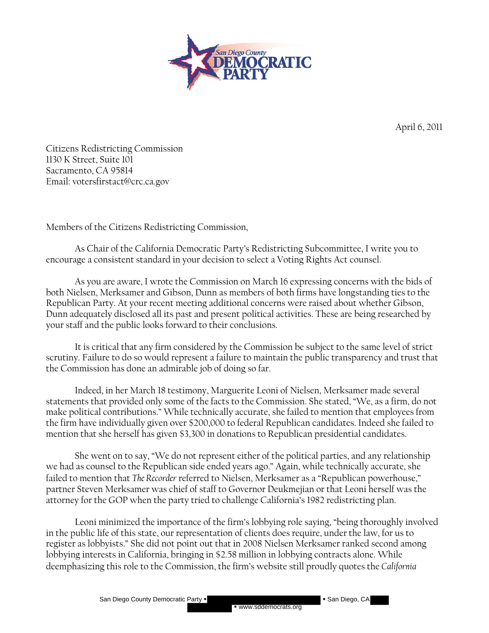

April 6, 2011

 Citizens Redistricting Commission 1130 K Street, Suite 101 Sacramento, CA 95814 Email: votersfirstact@crc.ca.gov

Members of the Citizens Redistricting Commission,

As Chair of the California Democratic Party's Redistricting Subcommittee, I write you to encourage a consistent standard in your decision to select a Voting Rights Act counsel.

As you are aware, I wrote the Commission on March 16 expressing concerns with the bids of both Nielsen, Merksamer and Gibson, Dunn as members of both firms have longstanding ties to the Republican Party. At your recent meeting additional concerns were raised about whether Gibson, Dunn adequately disclosed all its past and present political activities. These are being researched by your staff and the public looks forward to their conclusions.

It is critical that any firm considered by the Commission be subject to the same level of strict scrutiny. Failure to do so would represent a failure to maintain the public transparency and trust that the Commission has done an admirable job of doing so far.

Indeed, in her March 18 testimony, Marguerite Leoni of Nielsen, Merksamer made several statements that provided only some of the facts to the Commission. She stated, "We, as a firm, do not make political contributions." While technically accurate, she failed to mention that employees from the firm have individually given over \$200,000 to federal Republican candidates. Indeed she failed to mention that she herself has given \$3,300 in donations to Republican presidential candidates.

She went on to say, "We do not represent either of the political parties, and any relationship we had as counsel to the Republican side ended years ago." Again, while technically accurate, she failed to mention that *The Recorder* referred to Nielsen, Merksamer as a "Republican powerhouse," partner Steven Merksamer was chief of staff to Governor Deukmejian or that Leoni herself was the attorney for the GOP when the party tried to challenge California's 1982 redistricting plan.

Leoni minimized the importance of the firm's lobbying role saying, "being thoroughly involved in the public life of this state, our representation of clients does require, under the law, for us to register as lobbyists." She did not point out that in 2008 Nielsen Merksamer ranked second among lobbying interests in California, bringing in \$2.58 million in lobbying contracts alone. While deemphasizing this role to the Commission, the firm's website still proudly quotes the *California* 

San Diego County Democratic Party  $\blacksquare$  San Diego, CA